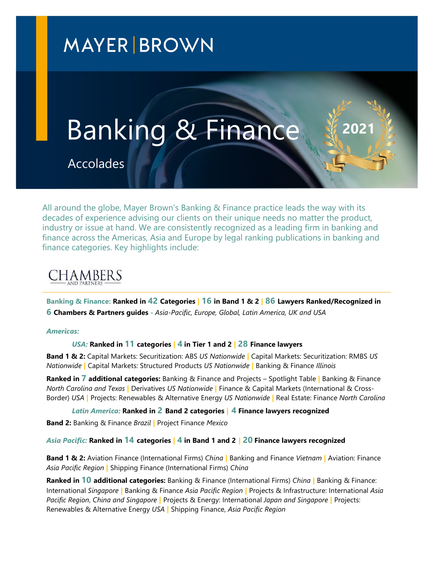## **MAYER BROWN**

# Banking & Finance **<sup>2021</sup>**

Accolades

All around the globe, Mayer Brown's Banking & Finance practice leads the way with its decades of experience advising our clients on their unique needs no matter the product, industry or issue at hand. We are consistently recognized as a leading firm in banking and finance across the Americas, Asia and Europe by legal ranking publications in banking and finance categories. Key highlights include:

### **CHAMBERS**

**Banking & Finance: Ranked in 42 Categories | 16 in Band 1 & 2 | 86 Lawyers Ranked/Recognized in 6 Chambers & Partners guides -** *Asia-Pacific, Europe, Global, Latin America, UK and USA*

#### *Americas:*

#### *USA:* **Ranked in 11 categories | 4 in Tier 1 and 2 | 28 Finance lawyers**

**Band 1 & 2:** Capital Markets: Securitization: ABS *US Nationwide* **|** Capital Markets: Securitization: RMBS *US Nationwide* **|** Capital Markets: Structured Products *US Nationwide* **|** Banking & Finance *Illinois*

**Ranked in 7 additional categories:** Banking & Finance and Projects – Spotlight Table **|** Banking & Finance *North Carolina and Texas* **|** Derivatives *US Nationwide* **|** Finance & Capital Markets (International & Cross-Border) *USA* **|** Projects: Renewables & Alternative Energy *US Nationwide* **|** Real Estate: Finance *North Carolina*

*Latin America:* **Ranked in 2 Band 2 categories | 4 Finance lawyers recognized** 

**Band 2:** Banking & Finance *Brazil* **|** Project Finance *Mexico* 

#### *Asia Pacific:* **Ranked in 14 categories | 4 in Band 1 and 2 | 20 Finance lawyers recognized**

**Band 1 & 2:** Aviation Finance (International Firms) *China* **|** Banking and Finance *Vietnam* **|** Aviation: Finance *Asia Pacific Region* **|** Shipping Finance (International Firms) *China*

**Ranked in 10 additional categories:** Banking & Finance (International Firms) *China* **|** Banking & Finance: International *Singapore* **|** Banking & Finance *Asia Pacific Region* **|** Projects & Infrastructure: International *Asia Pacific Region*, *China and Singapore* **|** Projects & Energy: International *Japan and Singapore* **|** Projects: Renewables & Alternative Energy *USA* **|** Shipping Finance, *Asia Pacific Region*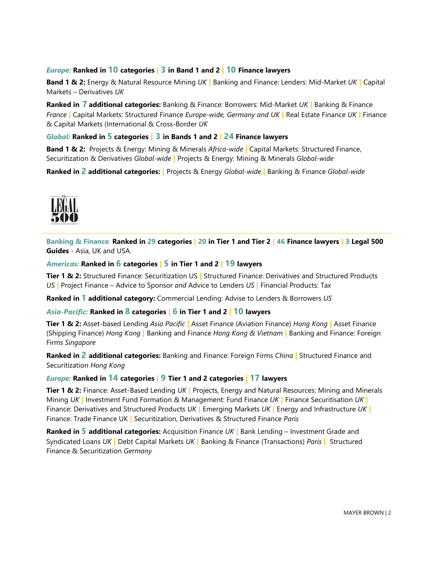#### *Europe:* **Ranked in 10 categories | 3 in Band 1 and 2 | 10 Finance lawyers**

**Band 1 & 2:** Energy & Natural Resource Mining *UK* **|** Banking and Finance: Lenders: Mid-Market *UK* **|** Capital Markets – Derivatives *UK*

**Ranked in 7 additional categories:** Banking & Finance: Borrowers: Mid-Market *UK* **|** Banking & Finance *France* **|** Capital Markets: Structured Finance *Europe-wide, Germany and UK* **|** Real Estate Finance *UK* **|** Finance & Capital Markets (International & Cross-Border *UK*

#### *Global:* **Ranked in 5 categories | 3 in Bands 1 and 2 | 24 Finance lawyers**

**Band 1 & 2:** Projects & Energy: Mining & Minerals *Africa-wide* **|** Capital Markets: Structured Finance, Securitization & Derivatives *Global-wide* **|** Projects & Energy: Mining & Minerals *Global-wide* 

**Ranked in 2 additional categories: |** Projects & Energy *Global-wide* **|** Banking & Finance *Global-wide*



**Banking & Finance**: **Ranked in 29 categories | 20 in Tier 1 and Tier 2 | 46 Finance lawyers | 3 Legal 500 Guides** - Asia, UK and USA.

#### *Americas:* **Ranked in 6 categories | 5 in Tier 1 and 2 | 19 lawyers**

**Tier 1 & 2:** Structured Finance: Securitization US **|** Structured Finance: Derivatives and Structured Products *US* **|** Project Finance – Advice to Sponsor *and* Advice to Lenders *US* **|** Financial Products: Tax

**Ranked in 1 additional category:** Commercial Lending: Advise to Lenders & Borrowers *US* 

#### *Asia-Pacific:* **Ranked in 8 categories | 6 in Tier 1 and 2 | 10 lawyers**

**Tier 1 & 2:** Asset-based Lending *Asia Pacific* **|** Asset Finance (Aviation Finance) *Hong Kong* **|** Asset Finance (Shipping Finance) *Hong Kong* **|** Banking and Finance *Hong Kong & Vietnam* **|** Banking and Finance: Foreign Firms *Singapore*

**Ranked in 2 additional categories:** Banking and Finance: Foreign Firms *China* **|** Structured Finance and Securitization *Hong Kong*

#### *Europe:* **Ranked in 14 categories | 9 Tier 1 and 2 categories | 17 lawyers**

**Tier 1 & 2:** Finance: Asset-Based Lending *UK* **|** Projects, Energy and Natural Resources: Mining and Minerals Mining *UK* **|** Investment Fund Formation & Management: Fund Finance *UK* **|** Finance Securitisation *UK* **|** Finance: Derivatives and Structured Products *UK* **|** Emerging Markets *UK* **|** Energy and Infrastructure *UK* **|** Finance: Trade Finance UK **|** Securitization, Derivatives & Structured Finance *Paris* 

**Ranked in 5 additional categories:** Acquisition Finance *UK* **|** Bank Lending – Investment Grade and Syndicated Loans *UK* **|** Debt Capital Markets *UK* **|** Banking & Finance (Transactions) *Paris* **|** Structured Finance & Securitization *Germany*